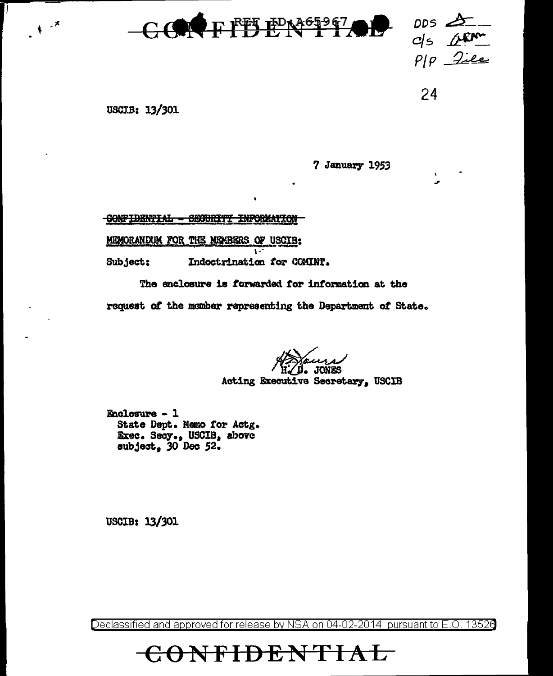

DDS Ols ARA

24

USCIB: 13/301

 $\lambda$   $^{-1}$ 

7 January 1953

CONFIDENTIAL - SEGURITY INFORMATION

MEMORANDUM FOR THE MEMBERS OF USCIB:

Subject: Indoctrination for COMINT.

The enclosure is forwarded for information at the

request of the member representing the Department of State.

Acting Executive Secretary, USCIB

Enclosure - 1 State Dept. Memo for Actg. Exec. Secy., USCIB, above subject, 30 Dec 52.

USCIB: 13/301

Declassified and approved for release by NSA on 04-02-2014 pursuant to E.O. 13526

ONFIDENTIAL